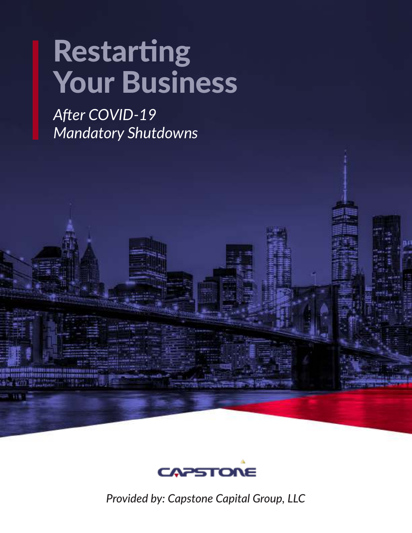# Restarting Your Business

*After COVID-19 Mandatory Shutdowns*



*Provided by: Capstone Capital Group, LLC*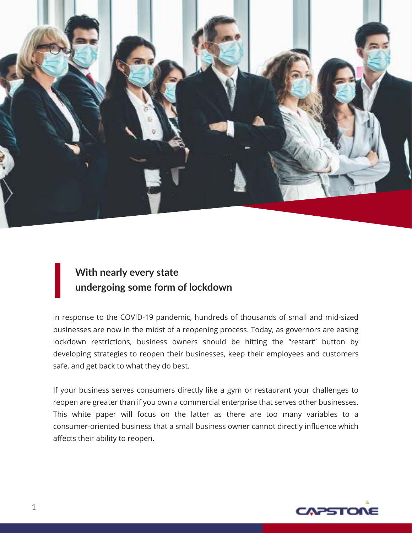

#### **With nearly every state undergoing some form of lockdown**

in response to the COVID-19 pandemic, hundreds of thousands of small and mid-sized businesses are now in the midst of a reopening process. Today, as governors are easing lockdown restrictions, business owners should be hitting the "restart" button by developing strategies to reopen their businesses, keep their employees and customers safe, and get back to what they do best.

If your business serves consumers directly like a gym or restaurant your challenges to reopen are greater than if you own a commercial enterprise that serves other businesses. This white paper will focus on the latter as there are too many variables to a consumer-oriented business that a small business owner cannot directly influence which affects their ability to reopen.

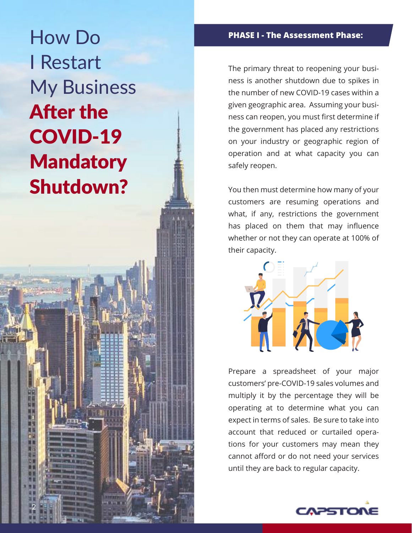How Do **PHASE I - The Assessment Phase:** I Restart My Business After the COVID-19 **Mandatory** Shutdown?

2

The primary threat to reopening your business is another shutdown due to spikes in the number of new COVID-19 cases within a given geographic area. Assuming your business can reopen, you must first determine if the government has placed any restrictions on your industry or geographic region of operation and at what capacity you can safely reopen.

You then must determine how many of your customers are resuming operations and what, if any, restrictions the government has placed on them that may influence whether or not they can operate at 100% of their capacity.



Prepare a spreadsheet of your major customers' pre-COVID-19 sales volumes and multiply it by the percentage they will be operating at to determine what you can expect in terms of sales. Be sure to take into account that reduced or curtailed operations for your customers may mean they cannot afford or do not need your services until they are back to regular capacity.

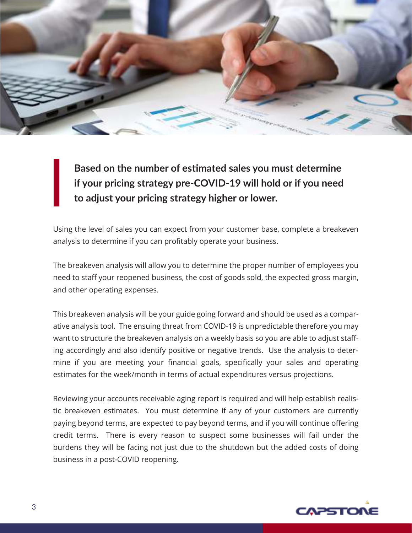

**Based on the number of estimated sales you must determine if your pricing strategy pre-COVID-19 will hold or if you need to adjust your pricing strategy higher or lower.**

Using the level of sales you can expect from your customer base, complete a breakeven analysis to determine if you can profitably operate your business.

The breakeven analysis will allow you to determine the proper number of employees you need to staff your reopened business, the cost of goods sold, the expected gross margin, and other operating expenses.

This breakeven analysis will be your guide going forward and should be used as a comparative analysis tool. The ensuing threat from COVID-19 is unpredictable therefore you may want to structure the breakeven analysis on a weekly basis so you are able to adjust staffing accordingly and also identify positive or negative trends. Use the analysis to determine if you are meeting your financial goals, specifically your sales and operating estimates for the week/month in terms of actual expenditures versus projections.

Reviewing your accounts receivable aging report is required and will help establish realistic breakeven estimates. You must determine if any of your customers are currently paying beyond terms, are expected to pay beyond terms, and if you will continue offering credit terms. There is every reason to suspect some businesses will fail under the burdens they will be facing not just due to the shutdown but the added costs of doing business in a post-COVID reopening.

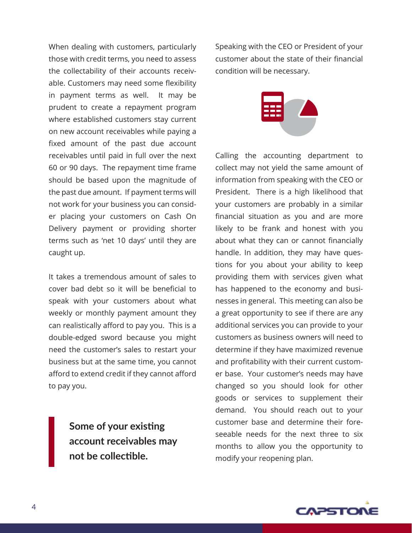When dealing with customers, particularly those with credit terms, you need to assess the collectability of their accounts receivable. Customers may need some flexibility in payment terms as well. It may be prudent to create a repayment program where established customers stay current on new account receivables while paying a fixed amount of the past due account receivables until paid in full over the next 60 or 90 days. The repayment time frame should be based upon the magnitude of the past due amount. If payment terms will not work for your business you can consider placing your customers on Cash On Delivery payment or providing shorter terms such as 'net 10 days' until they are caught up.

It takes a tremendous amount of sales to cover bad debt so it will be beneficial to speak with your customers about what weekly or monthly payment amount they can realistically afford to pay you. This is a double-edged sword because you might need the customer's sales to restart your business but at the same time, you cannot afford to extend credit if they cannot afford to pay you.

> **Some of your existing account receivables may not be collectible.**

Speaking with the CEO or President of your customer about the state of their financial condition will be necessary.



Calling the accounting department to collect may not yield the same amount of information from speaking with the CEO or President. There is a high likelihood that your customers are probably in a similar financial situation as you and are more likely to be frank and honest with you about what they can or cannot financially handle. In addition, they may have questions for you about your ability to keep providing them with services given what has happened to the economy and businesses in general. This meeting can also be a great opportunity to see if there are any additional services you can provide to your customers as business owners will need to determine if they have maximized revenue and profitability with their current customer base. Your customer's needs may have changed so you should look for other goods or services to supplement their demand. You should reach out to your customer base and determine their foreseeable needs for the next three to six months to allow you the opportunity to modify your reopening plan.

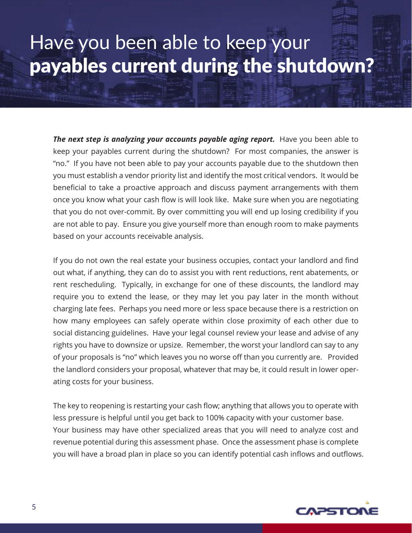## Have you been able to keep your payables current during the shutdown?

**The next step is analyzing your accounts payable aging report.** Have you been able to keep your payables current during the shutdown? For most companies, the answer is "no." If you have not been able to pay your accounts payable due to the shutdown then you must establish a vendor priority list and identify the most critical vendors. It would be beneficial to take a proactive approach and discuss payment arrangements with them once you know what your cash flow is will look like. Make sure when you are negotiating that you do not over-commit. By over committing you will end up losing credibility if you are not able to pay. Ensure you give yourself more than enough room to make payments based on your accounts receivable analysis.

If you do not own the real estate your business occupies, contact your landlord and find out what, if anything, they can do to assist you with rent reductions, rent abatements, or rent rescheduling. Typically, in exchange for one of these discounts, the landlord may require you to extend the lease, or they may let you pay later in the month without charging late fees. Perhaps you need more or less space because there is a restriction on how many employees can safely operate within close proximity of each other due to social distancing guidelines. Have your legal counsel review your lease and advise of any rights you have to downsize or upsize. Remember, the worst your landlord can say to any of your proposals is "no" which leaves you no worse off than you currently are. Provided the landlord considers your proposal, whatever that may be, it could result in lower operating costs for your business.

The key to reopening is restarting your cash flow; anything that allows you to operate with less pressure is helpful until you get back to 100% capacity with your customer base. Your business may have other specialized areas that you will need to analyze cost and revenue potential during this assessment phase. Once the assessment phase is complete you will have a broad plan in place so you can identify potential cash inflows and outflows.

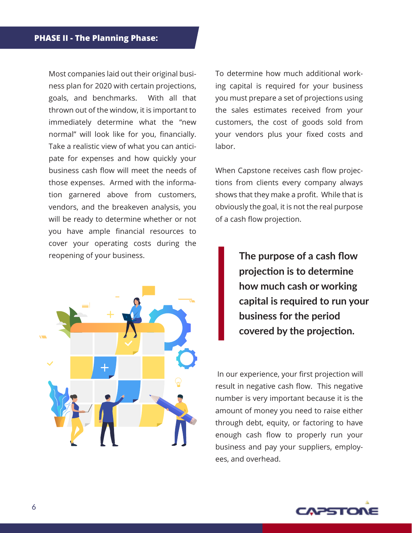Most companies laid out their original business plan for 2020 with certain projections, goals, and benchmarks. With all that thrown out of the window, it is important to immediately determine what the "new normal" will look like for you, financially. Take a realistic view of what you can anticipate for expenses and how quickly your business cash flow will meet the needs of those expenses. Armed with the information garnered above from customers, vendors, and the breakeven analysis, you will be ready to determine whether or not you have ample financial resources to cover your operating costs during the reopening of your business.



To determine how much additional working capital is required for your business you must prepare a set of projections using the sales estimates received from your customers, the cost of goods sold from your vendors plus your fixed costs and labor.

When Capstone receives cash flow projections from clients every company always shows that they make a profit. While that is obviously the goal, it is not the real purpose of a cash flow projection.

> **The purpose of a cash flow projection is to determine how much cash or working capital is required to run your business for the period covered by the projection.**

 In our experience, your first projection will result in negative cash flow. This negative number is very important because it is the amount of money you need to raise either through debt, equity, or factoring to have enough cash flow to properly run your business and pay your suppliers, employees, and overhead.

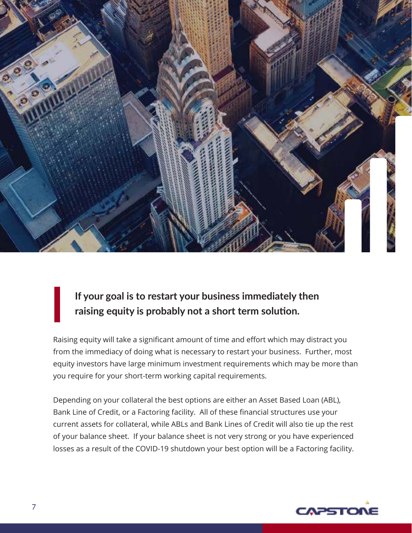

### **If your goal is to restart your business immediately then raising equity is probably not a short term solution.**

Raising equity will take a significant amount of time and effort which may distract you from the immediacy of doing what is necessary to restart your business. Further, most equity investors have large minimum investment requirements which may be more than you require for your short-term working capital requirements.

Depending on your collateral the best options are either an Asset Based Loan (ABL), Bank Line of Credit, or a Factoring facility. All of these financial structures use your current assets for collateral, while ABLs and Bank Lines of Credit will also tie up the rest of your balance sheet. If your balance sheet is not very strong or you have experienced losses as a result of the COVID-19 shutdown your best option will be a Factoring facility.

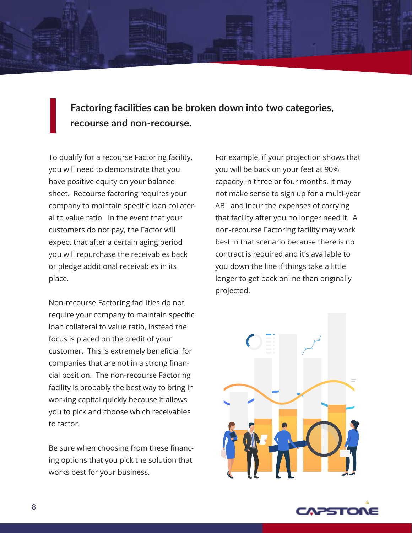**Factoring facilities can be broken down into two categories, recourse and non-recourse.**

To qualify for a recourse Factoring facility, you will need to demonstrate that you have positive equity on your balance sheet. Recourse factoring requires your company to maintain specific loan collateral to value ratio. In the event that your customers do not pay, the Factor will expect that after a certain aging period you will repurchase the receivables back or pledge additional receivables in its place.

Non-recourse Factoring facilities do not require your company to maintain specific loan collateral to value ratio, instead the focus is placed on the credit of your customer. This is extremely beneficial for companies that are not in a strong financial position. The non-recourse Factoring facility is probably the best way to bring in working capital quickly because it allows you to pick and choose which receivables to factor.

Be sure when choosing from these financing options that you pick the solution that works best for your business.

For example, if your projection shows that you will be back on your feet at 90% capacity in three or four months, it may not make sense to sign up for a multi-year ABL and incur the expenses of carrying that facility after you no longer need it. A non-recourse Factoring facility may work best in that scenario because there is no contract is required and it's available to you down the line if things take a little longer to get back online than originally projected.



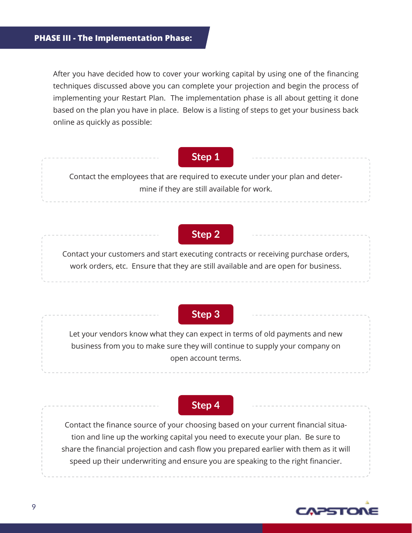After you have decided how to cover your working capital by using one of the financing techniques discussed above you can complete your projection and begin the process of implementing your Restart Plan. The implementation phase is all about getting it done based on the plan you have in place. Below is a listing of steps to get your business back online as quickly as possible:

#### **Step 1**

Contact the employees that are required to execute under your plan and determine if they are still available for work.

#### **Step 2**

Contact your customers and start executing contracts or receiving purchase orders, work orders, etc. Ensure that they are still available and are open for business.

#### **Step 3**

Let your vendors know what they can expect in terms of old payments and new business from you to make sure they will continue to supply your company on open account terms.

#### **Step 4**

Contact the finance source of your choosing based on your current financial situation and line up the working capital you need to execute your plan. Be sure to share the financial projection and cash flow you prepared earlier with them as it will speed up their underwriting and ensure you are speaking to the right financier.

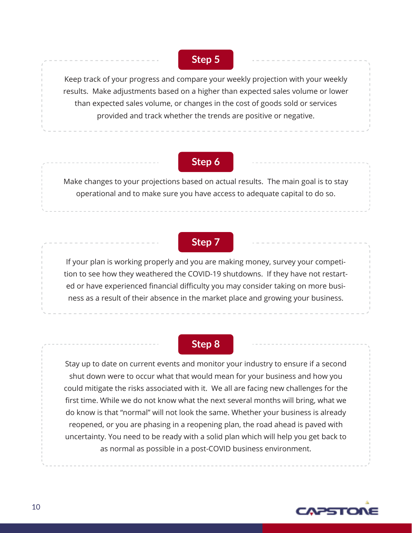**Step 5**

Keep track of your progress and compare your weekly projection with your weekly results. Make adjustments based on a higher than expected sales volume or lower than expected sales volume, or changes in the cost of goods sold or services provided and track whether the trends are positive or negative.

#### **Step 6**

Make changes to your projections based on actual results. The main goal is to stay operational and to make sure you have access to adequate capital to do so.

#### **Step 7**

If your plan is working properly and you are making money, survey your competition to see how they weathered the COVID-19 shutdowns. If they have not restarted or have experienced financial difficulty you may consider taking on more business as a result of their absence in the market place and growing your business.

#### **Step 8**

Stay up to date on current events and monitor your industry to ensure if a second shut down were to occur what that would mean for your business and how you could mitigate the risks associated with it. We all are facing new challenges for the first time. While we do not know what the next several months will bring, what we do know is that "normal" will not look the same. Whether your business is already reopened, or you are phasing in a reopening plan, the road ahead is paved with uncertainty. You need to be ready with a solid plan which will help you get back to as normal as possible in a post-COVID business environment.